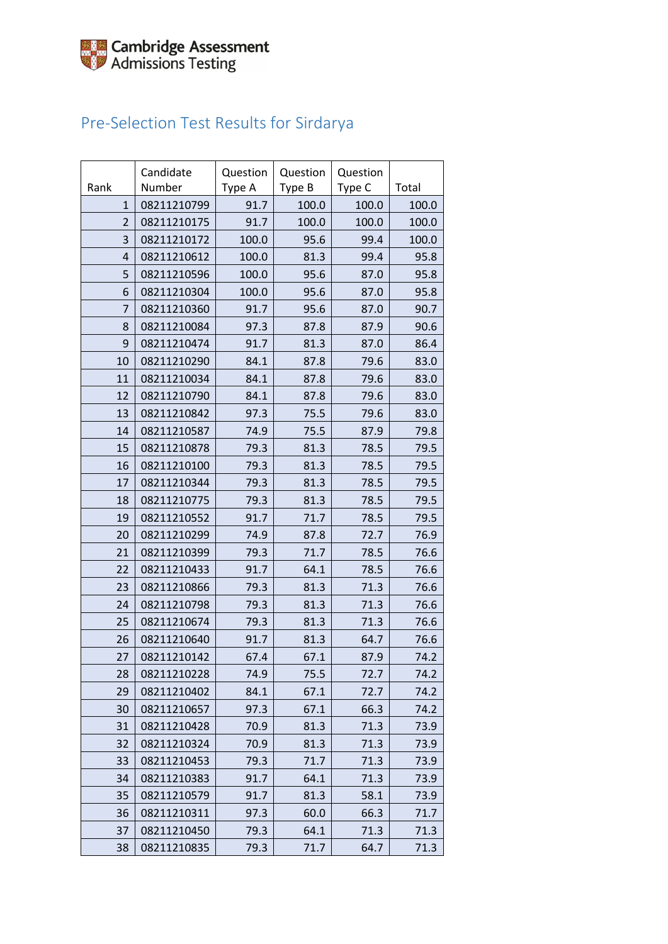## Pre-Selection Test Results for Sirdarya

| Rank           | Candidate<br>Number | Question<br>Type A | Question<br>Type B | Question<br>Type C | Total |
|----------------|---------------------|--------------------|--------------------|--------------------|-------|
| $\mathbf{1}$   | 08211210799         | 91.7               | 100.0              | 100.0              | 100.0 |
| 2              | 08211210175         | 91.7               | 100.0              | 100.0              | 100.0 |
| 3              | 08211210172         | 100.0              | 95.6               | 99.4               | 100.0 |
| $\overline{4}$ | 08211210612         | 100.0              | 81.3               | 99.4               | 95.8  |
| 5              | 08211210596         | 100.0              | 95.6               | 87.0               | 95.8  |
| 6              | 08211210304         | 100.0              | 95.6               | 87.0               | 95.8  |
| 7              | 08211210360         | 91.7               | 95.6               | 87.0               | 90.7  |
| 8              | 08211210084         | 97.3               | 87.8               | 87.9               | 90.6  |
| 9              | 08211210474         | 91.7               | 81.3               | 87.0               | 86.4  |
| 10             | 08211210290         | 84.1               | 87.8               | 79.6               | 83.0  |
| 11             | 08211210034         | 84.1               | 87.8               | 79.6               | 83.0  |
| 12             | 08211210790         | 84.1               | 87.8               | 79.6               | 83.0  |
| 13             | 08211210842         | 97.3               | 75.5               | 79.6               | 83.0  |
| 14             | 08211210587         | 74.9               | 75.5               | 87.9               | 79.8  |
| 15             | 08211210878         | 79.3               | 81.3               | 78.5               | 79.5  |
| 16             | 08211210100         | 79.3               | 81.3               | 78.5               | 79.5  |
| 17             | 08211210344         | 79.3               | 81.3               | 78.5               | 79.5  |
| 18             | 08211210775         | 79.3               | 81.3               | 78.5               | 79.5  |
| 19             | 08211210552         | 91.7               | 71.7               | 78.5               | 79.5  |
| 20             | 08211210299         | 74.9               | 87.8               | 72.7               | 76.9  |
| 21             | 08211210399         | 79.3               | 71.7               | 78.5               | 76.6  |
| 22             | 08211210433         | 91.7               | 64.1               | 78.5               | 76.6  |
| 23             | 08211210866         | 79.3               | 81.3               | 71.3               | 76.6  |
| 24             | 08211210798         | 79.3               | 81.3               | 71.3               | 76.6  |
| 25             | 08211210674         | 79.3               | 81.3               | 71.3               | 76.6  |
| 26             | 08211210640         | 91.7               | 81.3               | 64.7               | 76.6  |
| 27             | 08211210142         | 67.4               | 67.1               | 87.9               | 74.2  |
| 28             | 08211210228         | 74.9               | 75.5               | 72.7               | 74.2  |
| 29             | 08211210402         | 84.1               | 67.1               | 72.7               | 74.2  |
| 30             | 08211210657         | 97.3               | 67.1               | 66.3               | 74.2  |
| 31             | 08211210428         | 70.9               | 81.3               | 71.3               | 73.9  |
| 32             | 08211210324         | 70.9               | 81.3               | 71.3               | 73.9  |
| 33             | 08211210453         | 79.3               | 71.7               | 71.3               | 73.9  |
| 34             | 08211210383         | 91.7               | 64.1               | 71.3               | 73.9  |
| 35             | 08211210579         | 91.7               | 81.3               | 58.1               | 73.9  |
| 36             | 08211210311         | 97.3               | 60.0               | 66.3               | 71.7  |
| 37             | 08211210450         | 79.3               | 64.1               | 71.3               | 71.3  |
| 38             | 08211210835         | 79.3               | 71.7               | 64.7               | 71.3  |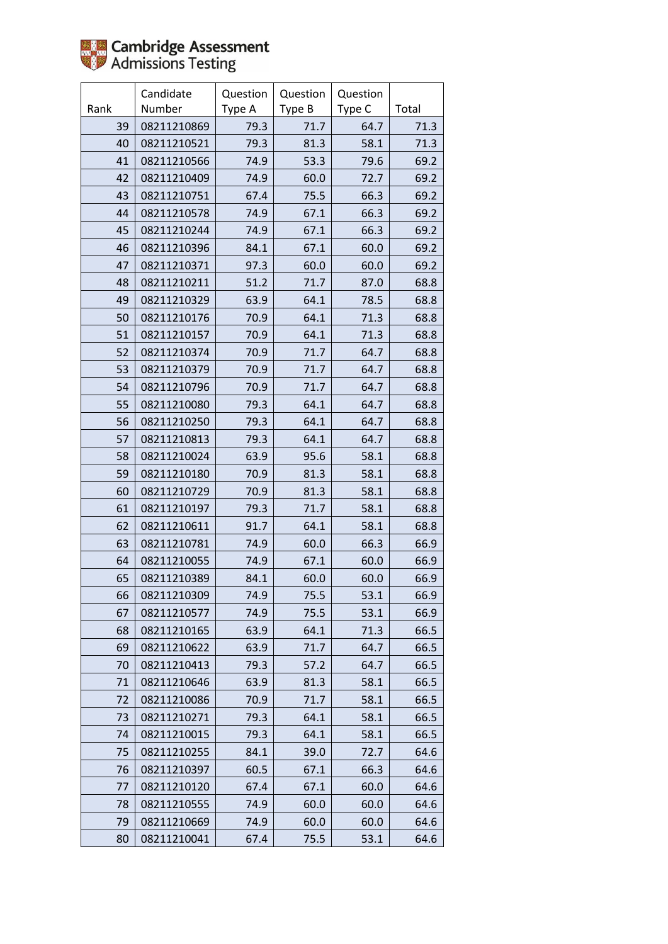

|      | Candidate   | Question | Question | Question |       |
|------|-------------|----------|----------|----------|-------|
| Rank | Number      | Type A   | Type B   | Type C   | Total |
| 39   | 08211210869 | 79.3     | 71.7     | 64.7     | 71.3  |
| 40   | 08211210521 | 79.3     | 81.3     | 58.1     | 71.3  |
| 41   | 08211210566 | 74.9     | 53.3     | 79.6     | 69.2  |
| 42   | 08211210409 | 74.9     | 60.0     | 72.7     | 69.2  |
| 43   | 08211210751 | 67.4     | 75.5     | 66.3     | 69.2  |
| 44   | 08211210578 | 74.9     | 67.1     | 66.3     | 69.2  |
| 45   | 08211210244 | 74.9     | 67.1     | 66.3     | 69.2  |
| 46   | 08211210396 | 84.1     | 67.1     | 60.0     | 69.2  |
| 47   | 08211210371 | 97.3     | 60.0     | 60.0     | 69.2  |
| 48   | 08211210211 | 51.2     | 71.7     | 87.0     | 68.8  |
| 49   | 08211210329 | 63.9     | 64.1     | 78.5     | 68.8  |
| 50   | 08211210176 | 70.9     | 64.1     | 71.3     | 68.8  |
| 51   | 08211210157 | 70.9     | 64.1     | 71.3     | 68.8  |
| 52   | 08211210374 | 70.9     | 71.7     | 64.7     | 68.8  |
| 53   | 08211210379 | 70.9     | 71.7     | 64.7     | 68.8  |
| 54   | 08211210796 | 70.9     | 71.7     | 64.7     | 68.8  |
| 55   | 08211210080 | 79.3     | 64.1     | 64.7     | 68.8  |
| 56   | 08211210250 | 79.3     | 64.1     | 64.7     | 68.8  |
| 57   | 08211210813 | 79.3     | 64.1     | 64.7     | 68.8  |
| 58   | 08211210024 | 63.9     | 95.6     | 58.1     | 68.8  |
| 59   | 08211210180 | 70.9     | 81.3     | 58.1     | 68.8  |
| 60   | 08211210729 | 70.9     | 81.3     | 58.1     | 68.8  |
| 61   | 08211210197 | 79.3     | 71.7     | 58.1     | 68.8  |
| 62   | 08211210611 | 91.7     | 64.1     | 58.1     | 68.8  |
| 63   | 08211210781 | 74.9     | 60.0     | 66.3     | 66.9  |
| 64   | 08211210055 | 74.9     | 67.1     | 60.0     | 66.9  |
| 65   | 08211210389 | 84.1     | 60.0     | 60.0     | 66.9  |
| 66   | 08211210309 | 74.9     | 75.5     | 53.1     | 66.9  |
| 67   | 08211210577 | 74.9     | 75.5     | 53.1     | 66.9  |
| 68   | 08211210165 | 63.9     | 64.1     | 71.3     | 66.5  |
| 69   | 08211210622 | 63.9     | 71.7     | 64.7     | 66.5  |
| 70   | 08211210413 | 79.3     | 57.2     | 64.7     | 66.5  |
| 71   | 08211210646 | 63.9     | 81.3     | 58.1     | 66.5  |
| 72   | 08211210086 | 70.9     | 71.7     | 58.1     | 66.5  |
| 73   | 08211210271 | 79.3     | 64.1     | 58.1     | 66.5  |
| 74   | 08211210015 | 79.3     | 64.1     | 58.1     | 66.5  |
| 75   | 08211210255 | 84.1     | 39.0     | 72.7     | 64.6  |
| 76   | 08211210397 | 60.5     | 67.1     | 66.3     | 64.6  |
| 77   | 08211210120 | 67.4     | 67.1     | 60.0     | 64.6  |
| 78   | 08211210555 | 74.9     | 60.0     | 60.0     | 64.6  |
| 79   | 08211210669 | 74.9     | 60.0     | 60.0     | 64.6  |
| 80   | 08211210041 | 67.4     | 75.5     | 53.1     | 64.6  |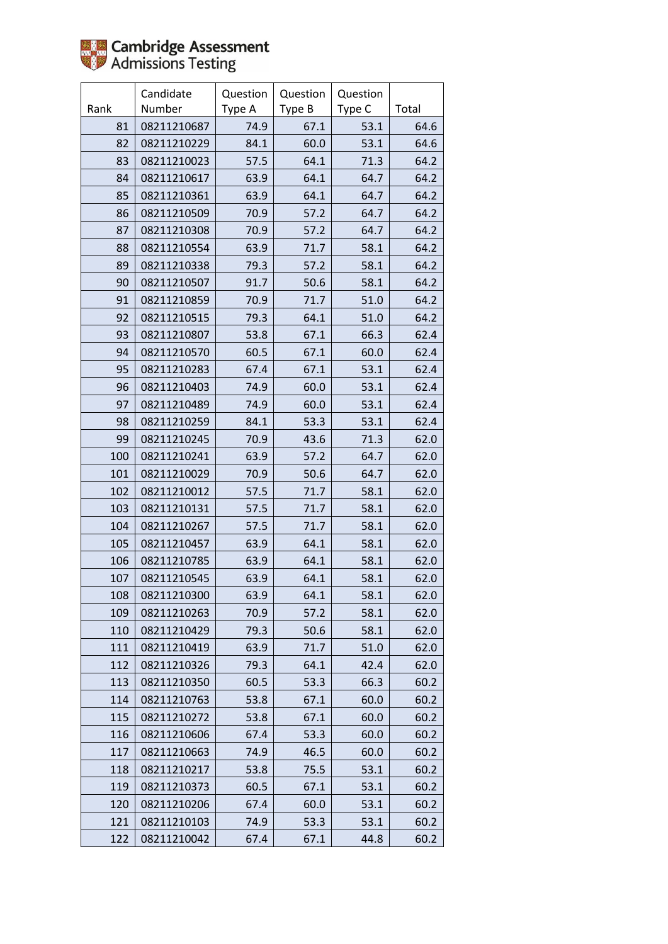

|      | Candidate   | Question | Question | Question |       |
|------|-------------|----------|----------|----------|-------|
| Rank | Number      | Type A   | Type B   | Type C   | Total |
| 81   | 08211210687 | 74.9     | 67.1     | 53.1     | 64.6  |
| 82   | 08211210229 | 84.1     | 60.0     | 53.1     | 64.6  |
| 83   | 08211210023 | 57.5     | 64.1     | 71.3     | 64.2  |
| 84   | 08211210617 | 63.9     | 64.1     | 64.7     | 64.2  |
| 85   | 08211210361 | 63.9     | 64.1     | 64.7     | 64.2  |
| 86   | 08211210509 | 70.9     | 57.2     | 64.7     | 64.2  |
| 87   | 08211210308 | 70.9     | 57.2     | 64.7     | 64.2  |
| 88   | 08211210554 | 63.9     | 71.7     | 58.1     | 64.2  |
| 89   | 08211210338 | 79.3     | 57.2     | 58.1     | 64.2  |
| 90   | 08211210507 | 91.7     | 50.6     | 58.1     | 64.2  |
| 91   | 08211210859 | 70.9     | 71.7     | 51.0     | 64.2  |
| 92   | 08211210515 | 79.3     | 64.1     | 51.0     | 64.2  |
| 93   | 08211210807 | 53.8     | 67.1     | 66.3     | 62.4  |
| 94   | 08211210570 | 60.5     | 67.1     | 60.0     | 62.4  |
| 95   | 08211210283 | 67.4     | 67.1     | 53.1     | 62.4  |
| 96   | 08211210403 | 74.9     | 60.0     | 53.1     | 62.4  |
| 97   | 08211210489 | 74.9     | 60.0     | 53.1     | 62.4  |
| 98   | 08211210259 | 84.1     | 53.3     | 53.1     | 62.4  |
| 99   | 08211210245 | 70.9     | 43.6     | 71.3     | 62.0  |
| 100  | 08211210241 | 63.9     | 57.2     | 64.7     | 62.0  |
| 101  | 08211210029 | 70.9     | 50.6     | 64.7     | 62.0  |
| 102  | 08211210012 | 57.5     | 71.7     | 58.1     | 62.0  |
| 103  | 08211210131 | 57.5     | 71.7     | 58.1     | 62.0  |
| 104  | 08211210267 | 57.5     | 71.7     | 58.1     | 62.0  |
| 105  | 08211210457 | 63.9     | 64.1     | 58.1     | 62.0  |
| 106  | 08211210785 | 63.9     | 64.1     | 58.1     | 62.0  |
| 107  | 08211210545 | 63.9     | 64.1     | 58.1     | 62.0  |
| 108  | 08211210300 | 63.9     | 64.1     | 58.1     | 62.0  |
| 109  | 08211210263 | 70.9     | 57.2     | 58.1     | 62.0  |
| 110  | 08211210429 | 79.3     | 50.6     | 58.1     | 62.0  |
| 111  | 08211210419 | 63.9     | 71.7     | 51.0     | 62.0  |
| 112  | 08211210326 | 79.3     | 64.1     | 42.4     | 62.0  |
| 113  | 08211210350 | 60.5     | 53.3     | 66.3     | 60.2  |
| 114  | 08211210763 | 53.8     | 67.1     | 60.0     | 60.2  |
| 115  | 08211210272 | 53.8     | 67.1     | 60.0     | 60.2  |
| 116  | 08211210606 | 67.4     | 53.3     | 60.0     | 60.2  |
| 117  | 08211210663 | 74.9     | 46.5     | 60.0     | 60.2  |
| 118  | 08211210217 | 53.8     | 75.5     | 53.1     | 60.2  |
| 119  | 08211210373 | 60.5     | 67.1     | 53.1     | 60.2  |
| 120  | 08211210206 | 67.4     | 60.0     | 53.1     | 60.2  |
| 121  | 08211210103 | 74.9     | 53.3     | 53.1     | 60.2  |
| 122  | 08211210042 | 67.4     | 67.1     | 44.8     | 60.2  |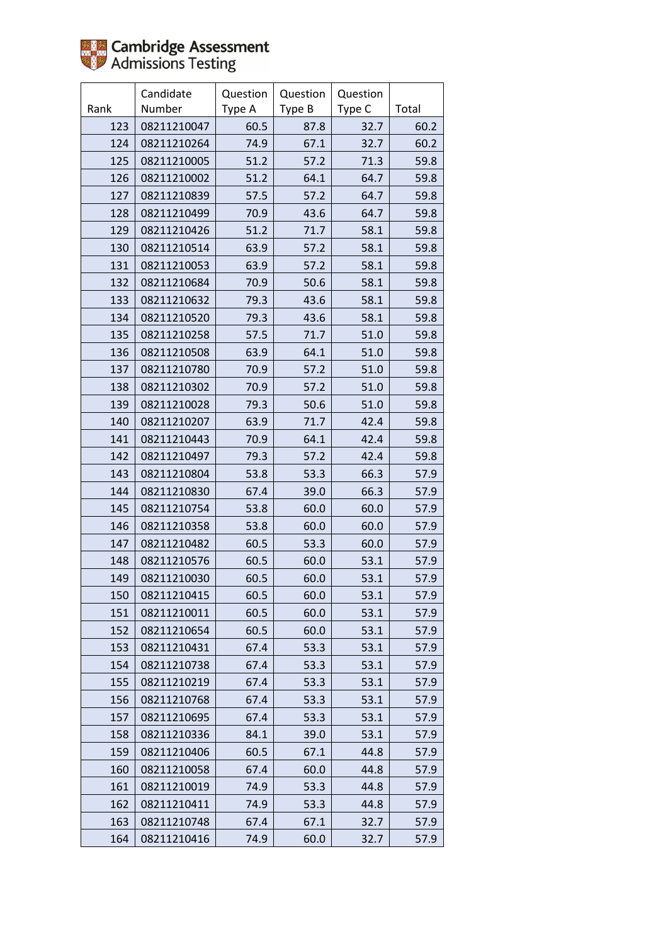

|      | Candidate   | Question | Question | Question |       |
|------|-------------|----------|----------|----------|-------|
| Rank | Number      | Type A   | Type B   | Type C   | Total |
| 123  | 08211210047 | 60.5     | 87.8     | 32.7     | 60.2  |
| 124  | 08211210264 | 74.9     | 67.1     | 32.7     | 60.2  |
| 125  | 08211210005 | 51.2     | 57.2     | 71.3     | 59.8  |
| 126  | 08211210002 | 51.2     | 64.1     | 64.7     | 59.8  |
| 127  | 08211210839 | 57.5     | 57.2     | 64.7     | 59.8  |
| 128  | 08211210499 | 70.9     | 43.6     | 64.7     | 59.8  |
| 129  | 08211210426 | 51.2     | 71.7     | 58.1     | 59.8  |
| 130  | 08211210514 | 63.9     | 57.2     | 58.1     | 59.8  |
| 131  | 08211210053 | 63.9     | 57.2     | 58.1     | 59.8  |
| 132  | 08211210684 | 70.9     | 50.6     | 58.1     | 59.8  |
| 133  | 08211210632 | 79.3     | 43.6     | 58.1     | 59.8  |
| 134  | 08211210520 | 79.3     | 43.6     | 58.1     | 59.8  |
| 135  | 08211210258 | 57.5     | 71.7     | 51.0     | 59.8  |
| 136  | 08211210508 | 63.9     | 64.1     | 51.0     | 59.8  |
| 137  | 08211210780 | 70.9     | 57.2     | 51.0     | 59.8  |
| 138  | 08211210302 | 70.9     | 57.2     | 51.0     | 59.8  |
| 139  | 08211210028 | 79.3     | 50.6     | 51.0     | 59.8  |
| 140  | 08211210207 | 63.9     | 71.7     | 42.4     | 59.8  |
| 141  | 08211210443 | 70.9     | 64.1     | 42.4     | 59.8  |
| 142  | 08211210497 | 79.3     | 57.2     | 42.4     | 59.8  |
| 143  | 08211210804 | 53.8     | 53.3     | 66.3     | 57.9  |
| 144  | 08211210830 | 67.4     | 39.0     | 66.3     | 57.9  |
| 145  | 08211210754 | 53.8     | 60.0     | 60.0     | 57.9  |
| 146  | 08211210358 | 53.8     | 60.0     | 60.0     | 57.9  |
| 147  | 08211210482 | 60.5     | 53.3     | 60.0     | 57.9  |
| 148  | 08211210576 | 60.5     | 60.0     | 53.1     | 57.9  |
| 149  | 08211210030 | 60.5     | 60.0     | 53.1     | 57.9  |
| 150  | 08211210415 | 60.5     | 60.0     | 53.1     | 57.9  |
| 151  | 08211210011 | 60.5     | 60.0     | 53.1     | 57.9  |
| 152  | 08211210654 | 60.5     | 60.0     | 53.1     | 57.9  |
| 153  | 08211210431 | 67.4     | 53.3     | 53.1     | 57.9  |
| 154  | 08211210738 | 67.4     | 53.3     | 53.1     | 57.9  |
| 155  | 08211210219 | 67.4     | 53.3     | 53.1     | 57.9  |
| 156  | 08211210768 | 67.4     | 53.3     | 53.1     | 57.9  |
| 157  | 08211210695 | 67.4     | 53.3     | 53.1     | 57.9  |
| 158  | 08211210336 | 84.1     | 39.0     | 53.1     | 57.9  |
| 159  | 08211210406 | 60.5     | 67.1     | 44.8     | 57.9  |
| 160  | 08211210058 | 67.4     | 60.0     | 44.8     | 57.9  |
| 161  | 08211210019 | 74.9     | 53.3     | 44.8     | 57.9  |
| 162  | 08211210411 | 74.9     | 53.3     | 44.8     | 57.9  |
| 163  | 08211210748 | 67.4     | 67.1     | 32.7     | 57.9  |
| 164  | 08211210416 | 74.9     | 60.0     | 32.7     | 57.9  |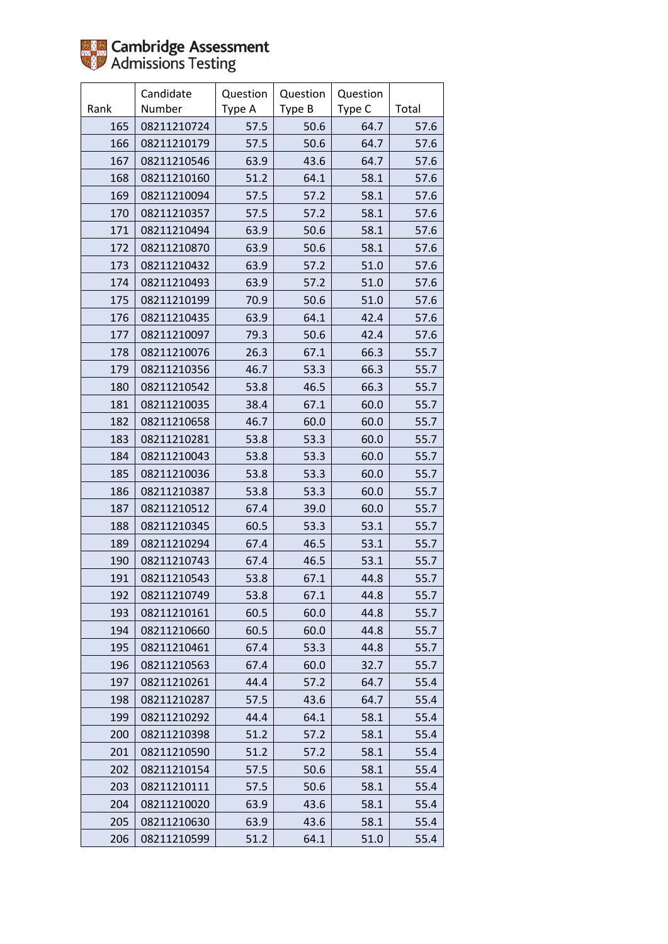

|      | Candidate   | Question | Question | Question |       |
|------|-------------|----------|----------|----------|-------|
| Rank | Number      | Type A   | Type B   | Type C   | Total |
| 165  | 08211210724 | 57.5     | 50.6     | 64.7     | 57.6  |
| 166  | 08211210179 | 57.5     | 50.6     | 64.7     | 57.6  |
| 167  | 08211210546 | 63.9     | 43.6     | 64.7     | 57.6  |
| 168  | 08211210160 | 51.2     | 64.1     | 58.1     | 57.6  |
| 169  | 08211210094 | 57.5     | 57.2     | 58.1     | 57.6  |
| 170  | 08211210357 | 57.5     | 57.2     | 58.1     | 57.6  |
| 171  | 08211210494 | 63.9     | 50.6     | 58.1     | 57.6  |
| 172  | 08211210870 | 63.9     | 50.6     | 58.1     | 57.6  |
| 173  | 08211210432 | 63.9     | 57.2     | 51.0     | 57.6  |
| 174  | 08211210493 | 63.9     | 57.2     | 51.0     | 57.6  |
| 175  | 08211210199 | 70.9     | 50.6     | 51.0     | 57.6  |
| 176  | 08211210435 | 63.9     | 64.1     | 42.4     | 57.6  |
| 177  | 08211210097 | 79.3     | 50.6     | 42.4     | 57.6  |
| 178  | 08211210076 | 26.3     | 67.1     | 66.3     | 55.7  |
| 179  | 08211210356 | 46.7     | 53.3     | 66.3     | 55.7  |
| 180  | 08211210542 | 53.8     | 46.5     | 66.3     | 55.7  |
| 181  | 08211210035 | 38.4     | 67.1     | 60.0     | 55.7  |
| 182  | 08211210658 | 46.7     | 60.0     | 60.0     | 55.7  |
| 183  | 08211210281 | 53.8     | 53.3     | 60.0     | 55.7  |
| 184  | 08211210043 | 53.8     | 53.3     | 60.0     | 55.7  |
| 185  | 08211210036 | 53.8     | 53.3     | 60.0     | 55.7  |
| 186  | 08211210387 | 53.8     | 53.3     | 60.0     | 55.7  |
| 187  | 08211210512 | 67.4     | 39.0     | 60.0     | 55.7  |
| 188  | 08211210345 | 60.5     | 53.3     | 53.1     | 55.7  |
| 189  | 08211210294 | 67.4     | 46.5     | 53.1     | 55.7  |
| 190  | 08211210743 | 67.4     | 46.5     | 53.1     | 55.7  |
| 191  | 08211210543 | 53.8     | 67.1     | 44.8     | 55.7  |
| 192  | 08211210749 | 53.8     | 67.1     | 44.8     | 55.7  |
| 193  | 08211210161 | 60.5     | 60.0     | 44.8     | 55.7  |
| 194  | 08211210660 | 60.5     | 60.0     | 44.8     | 55.7  |
| 195  | 08211210461 | 67.4     | 53.3     | 44.8     | 55.7  |
| 196  | 08211210563 | 67.4     | 60.0     | 32.7     | 55.7  |
| 197  | 08211210261 | 44.4     | 57.2     | 64.7     | 55.4  |
| 198  | 08211210287 | 57.5     | 43.6     | 64.7     | 55.4  |
| 199  | 08211210292 | 44.4     | 64.1     | 58.1     | 55.4  |
| 200  | 08211210398 | 51.2     | 57.2     | 58.1     | 55.4  |
| 201  | 08211210590 | 51.2     | 57.2     | 58.1     | 55.4  |
| 202  | 08211210154 | 57.5     | 50.6     | 58.1     | 55.4  |
| 203  | 08211210111 | 57.5     | 50.6     | 58.1     | 55.4  |
| 204  | 08211210020 | 63.9     | 43.6     | 58.1     | 55.4  |
| 205  | 08211210630 | 63.9     | 43.6     | 58.1     | 55.4  |
| 206  | 08211210599 | 51.2     | 64.1     | 51.0     | 55.4  |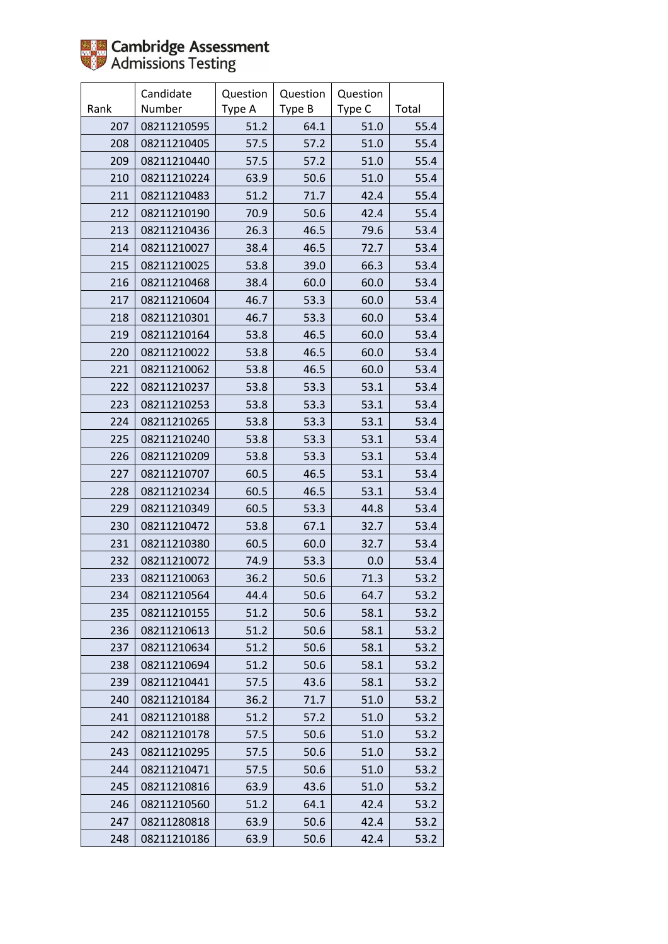

|      | Candidate   | Question | Question | Question |       |
|------|-------------|----------|----------|----------|-------|
| Rank | Number      | Type A   | Type B   | Type C   | Total |
| 207  | 08211210595 | 51.2     | 64.1     | 51.0     | 55.4  |
| 208  | 08211210405 | 57.5     | 57.2     | 51.0     | 55.4  |
| 209  | 08211210440 | 57.5     | 57.2     | 51.0     | 55.4  |
| 210  | 08211210224 | 63.9     | 50.6     | 51.0     | 55.4  |
| 211  | 08211210483 | 51.2     | 71.7     | 42.4     | 55.4  |
| 212  | 08211210190 | 70.9     | 50.6     | 42.4     | 55.4  |
| 213  | 08211210436 | 26.3     | 46.5     | 79.6     | 53.4  |
| 214  | 08211210027 | 38.4     | 46.5     | 72.7     | 53.4  |
| 215  | 08211210025 | 53.8     | 39.0     | 66.3     | 53.4  |
| 216  | 08211210468 | 38.4     | 60.0     | 60.0     | 53.4  |
| 217  | 08211210604 | 46.7     | 53.3     | 60.0     | 53.4  |
| 218  | 08211210301 | 46.7     | 53.3     | 60.0     | 53.4  |
| 219  | 08211210164 | 53.8     | 46.5     | 60.0     | 53.4  |
| 220  | 08211210022 | 53.8     | 46.5     | 60.0     | 53.4  |
| 221  | 08211210062 | 53.8     | 46.5     | 60.0     | 53.4  |
| 222  | 08211210237 | 53.8     | 53.3     | 53.1     | 53.4  |
| 223  | 08211210253 | 53.8     | 53.3     | 53.1     | 53.4  |
| 224  | 08211210265 | 53.8     | 53.3     | 53.1     | 53.4  |
| 225  | 08211210240 | 53.8     | 53.3     | 53.1     | 53.4  |
| 226  | 08211210209 | 53.8     | 53.3     | 53.1     | 53.4  |
| 227  | 08211210707 | 60.5     | 46.5     | 53.1     | 53.4  |
| 228  | 08211210234 | 60.5     | 46.5     | 53.1     | 53.4  |
| 229  | 08211210349 | 60.5     | 53.3     | 44.8     | 53.4  |
| 230  | 08211210472 | 53.8     | 67.1     | 32.7     | 53.4  |
| 231  | 08211210380 | 60.5     | 60.0     | 32.7     | 53.4  |
| 232  | 08211210072 | 74.9     | 53.3     | 0.0      | 53.4  |
| 233  | 08211210063 | 36.2     | 50.6     | 71.3     | 53.2  |
| 234  | 08211210564 | 44.4     | 50.6     | 64.7     | 53.2  |
| 235  | 08211210155 | 51.2     | 50.6     | 58.1     | 53.2  |
| 236  | 08211210613 | 51.2     | 50.6     | 58.1     | 53.2  |
| 237  | 08211210634 | 51.2     | 50.6     | 58.1     | 53.2  |
| 238  | 08211210694 | 51.2     | 50.6     | 58.1     | 53.2  |
| 239  | 08211210441 | 57.5     | 43.6     | 58.1     | 53.2  |
| 240  | 08211210184 | 36.2     | 71.7     | 51.0     | 53.2  |
| 241  | 08211210188 | 51.2     | 57.2     | 51.0     | 53.2  |
| 242  | 08211210178 | 57.5     | 50.6     | 51.0     | 53.2  |
| 243  | 08211210295 | 57.5     | 50.6     | 51.0     | 53.2  |
| 244  | 08211210471 | 57.5     | 50.6     | 51.0     | 53.2  |
| 245  | 08211210816 | 63.9     | 43.6     | 51.0     | 53.2  |
| 246  | 08211210560 | 51.2     | 64.1     | 42.4     | 53.2  |
| 247  | 08211280818 | 63.9     | 50.6     | 42.4     | 53.2  |
| 248  | 08211210186 | 63.9     | 50.6     | 42.4     | 53.2  |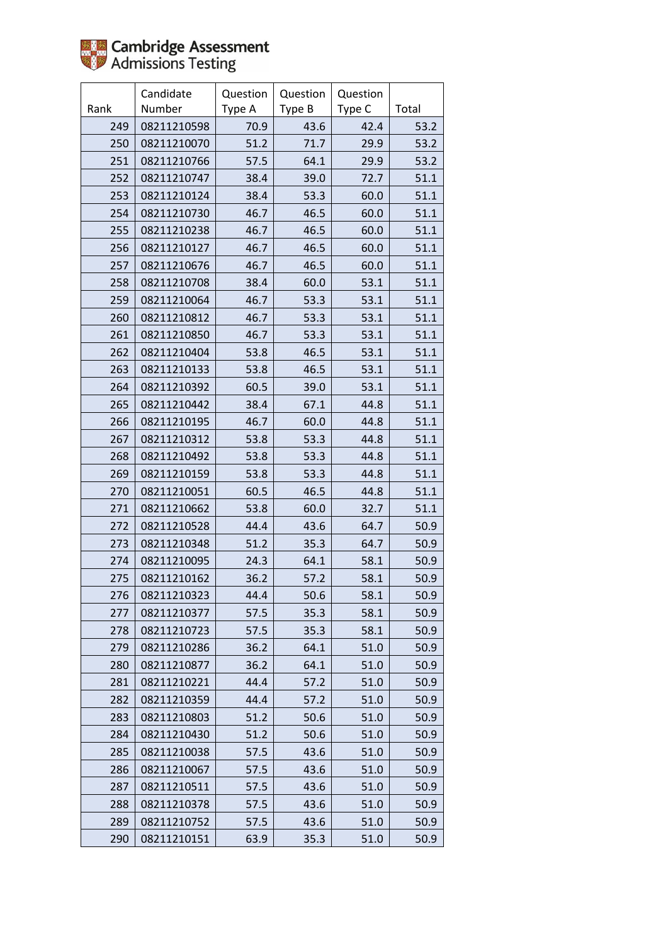

|      | Candidate   | Question | Question | Question |       |
|------|-------------|----------|----------|----------|-------|
| Rank | Number      | Type A   | Type B   | Type C   | Total |
| 249  | 08211210598 | 70.9     | 43.6     | 42.4     | 53.2  |
| 250  | 08211210070 | 51.2     | 71.7     | 29.9     | 53.2  |
| 251  | 08211210766 | 57.5     | 64.1     | 29.9     | 53.2  |
| 252  | 08211210747 | 38.4     | 39.0     | 72.7     | 51.1  |
| 253  | 08211210124 | 38.4     | 53.3     | 60.0     | 51.1  |
| 254  | 08211210730 | 46.7     | 46.5     | 60.0     | 51.1  |
| 255  | 08211210238 | 46.7     | 46.5     | 60.0     | 51.1  |
| 256  | 08211210127 | 46.7     | 46.5     | 60.0     | 51.1  |
| 257  | 08211210676 | 46.7     | 46.5     | 60.0     | 51.1  |
| 258  | 08211210708 | 38.4     | 60.0     | 53.1     | 51.1  |
| 259  | 08211210064 | 46.7     | 53.3     | 53.1     | 51.1  |
| 260  | 08211210812 | 46.7     | 53.3     | 53.1     | 51.1  |
| 261  | 08211210850 | 46.7     | 53.3     | 53.1     | 51.1  |
| 262  | 08211210404 | 53.8     | 46.5     | 53.1     | 51.1  |
| 263  | 08211210133 | 53.8     | 46.5     | 53.1     | 51.1  |
| 264  | 08211210392 | 60.5     | 39.0     | 53.1     | 51.1  |
| 265  | 08211210442 | 38.4     | 67.1     | 44.8     | 51.1  |
| 266  | 08211210195 | 46.7     | 60.0     | 44.8     | 51.1  |
| 267  | 08211210312 | 53.8     | 53.3     | 44.8     | 51.1  |
| 268  | 08211210492 | 53.8     | 53.3     | 44.8     | 51.1  |
| 269  | 08211210159 | 53.8     | 53.3     | 44.8     | 51.1  |
| 270  | 08211210051 | 60.5     | 46.5     | 44.8     | 51.1  |
| 271  | 08211210662 | 53.8     | 60.0     | 32.7     | 51.1  |
| 272  | 08211210528 | 44.4     | 43.6     | 64.7     | 50.9  |
| 273  | 08211210348 | 51.2     | 35.3     | 64.7     | 50.9  |
| 274  | 08211210095 | 24.3     | 64.1     | 58.1     | 50.9  |
| 275  | 08211210162 | 36.2     | 57.2     | 58.1     | 50.9  |
| 276  | 08211210323 | 44.4     | 50.6     | 58.1     | 50.9  |
| 277  | 08211210377 | 57.5     | 35.3     | 58.1     | 50.9  |
| 278  | 08211210723 | 57.5     | 35.3     | 58.1     | 50.9  |
| 279  | 08211210286 | 36.2     | 64.1     | 51.0     | 50.9  |
| 280  | 08211210877 | 36.2     | 64.1     | 51.0     | 50.9  |
| 281  | 08211210221 | 44.4     | 57.2     | 51.0     | 50.9  |
| 282  | 08211210359 | 44.4     | 57.2     | 51.0     | 50.9  |
| 283  | 08211210803 | 51.2     | 50.6     | 51.0     | 50.9  |
| 284  | 08211210430 | 51.2     | 50.6     | 51.0     | 50.9  |
| 285  | 08211210038 | 57.5     | 43.6     | 51.0     | 50.9  |
| 286  | 08211210067 | 57.5     | 43.6     | 51.0     | 50.9  |
| 287  | 08211210511 | 57.5     | 43.6     | 51.0     | 50.9  |
| 288  | 08211210378 | 57.5     | 43.6     | 51.0     | 50.9  |
| 289  | 08211210752 | 57.5     | 43.6     | 51.0     | 50.9  |
| 290  | 08211210151 | 63.9     | 35.3     | 51.0     | 50.9  |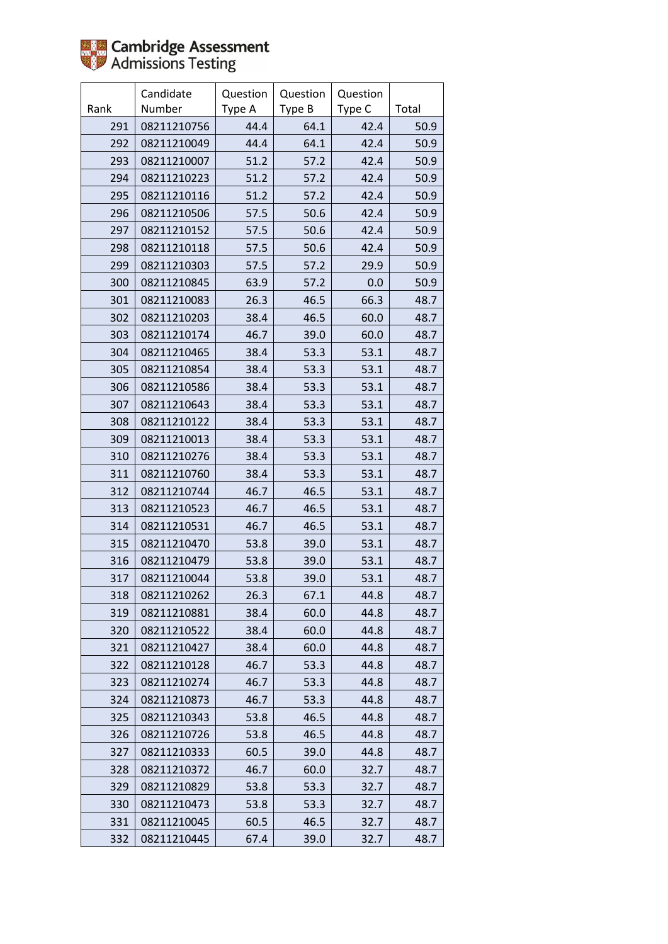

|      | Candidate   | Question | Question | Question |       |
|------|-------------|----------|----------|----------|-------|
| Rank | Number      | Type A   | Type B   | Type C   | Total |
| 291  | 08211210756 | 44.4     | 64.1     | 42.4     | 50.9  |
| 292  | 08211210049 | 44.4     | 64.1     | 42.4     | 50.9  |
| 293  | 08211210007 | 51.2     | 57.2     | 42.4     | 50.9  |
| 294  | 08211210223 | 51.2     | 57.2     | 42.4     | 50.9  |
| 295  | 08211210116 | 51.2     | 57.2     | 42.4     | 50.9  |
| 296  | 08211210506 | 57.5     | 50.6     | 42.4     | 50.9  |
| 297  | 08211210152 | 57.5     | 50.6     | 42.4     | 50.9  |
| 298  | 08211210118 | 57.5     | 50.6     | 42.4     | 50.9  |
| 299  | 08211210303 | 57.5     | 57.2     | 29.9     | 50.9  |
| 300  | 08211210845 | 63.9     | 57.2     | 0.0      | 50.9  |
| 301  | 08211210083 | 26.3     | 46.5     | 66.3     | 48.7  |
| 302  | 08211210203 | 38.4     | 46.5     | 60.0     | 48.7  |
| 303  | 08211210174 | 46.7     | 39.0     | 60.0     | 48.7  |
| 304  | 08211210465 | 38.4     | 53.3     | 53.1     | 48.7  |
| 305  | 08211210854 | 38.4     | 53.3     | 53.1     | 48.7  |
| 306  | 08211210586 | 38.4     | 53.3     | 53.1     | 48.7  |
| 307  | 08211210643 | 38.4     | 53.3     | 53.1     | 48.7  |
| 308  | 08211210122 | 38.4     | 53.3     | 53.1     | 48.7  |
| 309  | 08211210013 | 38.4     | 53.3     | 53.1     | 48.7  |
| 310  | 08211210276 | 38.4     | 53.3     | 53.1     | 48.7  |
| 311  | 08211210760 | 38.4     | 53.3     | 53.1     | 48.7  |
| 312  | 08211210744 | 46.7     | 46.5     | 53.1     | 48.7  |
| 313  | 08211210523 | 46.7     | 46.5     | 53.1     | 48.7  |
| 314  | 08211210531 | 46.7     | 46.5     | 53.1     | 48.7  |
| 315  | 08211210470 | 53.8     | 39.0     | 53.1     | 48.7  |
| 316  | 08211210479 | 53.8     | 39.0     | 53.1     | 48.7  |
| 317  | 08211210044 | 53.8     | 39.0     | 53.1     | 48.7  |
| 318  | 08211210262 | 26.3     | 67.1     | 44.8     | 48.7  |
| 319  | 08211210881 | 38.4     | 60.0     | 44.8     | 48.7  |
| 320  | 08211210522 | 38.4     | 60.0     | 44.8     | 48.7  |
| 321  | 08211210427 | 38.4     | 60.0     | 44.8     | 48.7  |
| 322  | 08211210128 | 46.7     | 53.3     | 44.8     | 48.7  |
| 323  | 08211210274 | 46.7     | 53.3     | 44.8     | 48.7  |
| 324  | 08211210873 | 46.7     | 53.3     | 44.8     | 48.7  |
| 325  | 08211210343 | 53.8     | 46.5     | 44.8     | 48.7  |
| 326  | 08211210726 | 53.8     | 46.5     | 44.8     | 48.7  |
| 327  | 08211210333 | 60.5     | 39.0     | 44.8     | 48.7  |
| 328  | 08211210372 | 46.7     | 60.0     | 32.7     | 48.7  |
| 329  | 08211210829 | 53.8     | 53.3     | 32.7     | 48.7  |
| 330  | 08211210473 | 53.8     | 53.3     | 32.7     | 48.7  |
| 331  | 08211210045 | 60.5     | 46.5     | 32.7     | 48.7  |
| 332  | 08211210445 | 67.4     | 39.0     | 32.7     | 48.7  |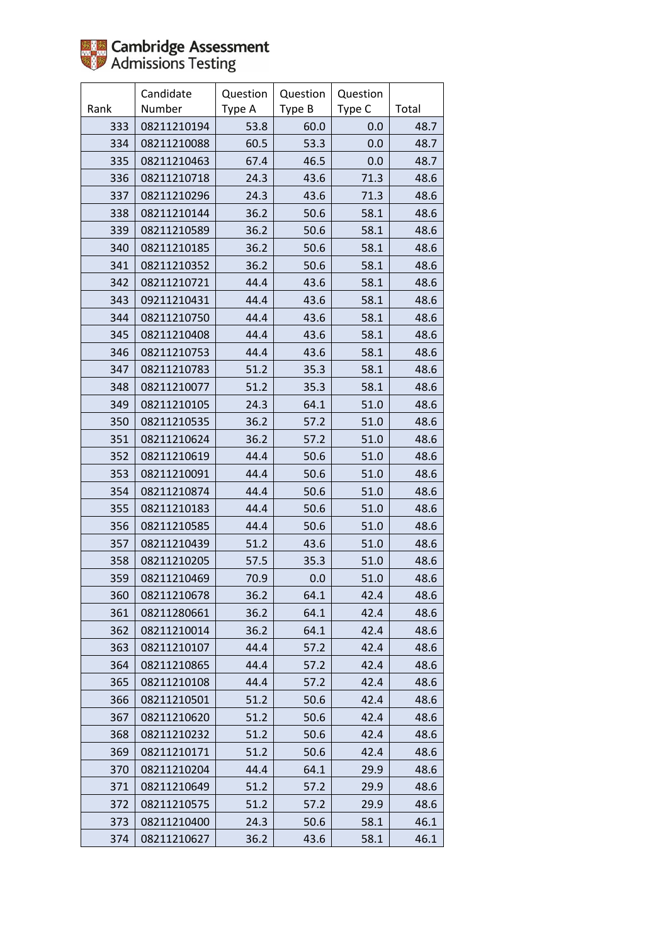

|      | Candidate   | Question | Question | Question |       |
|------|-------------|----------|----------|----------|-------|
| Rank | Number      | Type A   | Type B   | Type C   | Total |
| 333  | 08211210194 | 53.8     | 60.0     | 0.0      | 48.7  |
| 334  | 08211210088 | 60.5     | 53.3     | 0.0      | 48.7  |
| 335  | 08211210463 | 67.4     | 46.5     | 0.0      | 48.7  |
| 336  | 08211210718 | 24.3     | 43.6     | 71.3     | 48.6  |
| 337  | 08211210296 | 24.3     | 43.6     | 71.3     | 48.6  |
| 338  | 08211210144 | 36.2     | 50.6     | 58.1     | 48.6  |
| 339  | 08211210589 | 36.2     | 50.6     | 58.1     | 48.6  |
| 340  | 08211210185 | 36.2     | 50.6     | 58.1     | 48.6  |
| 341  | 08211210352 | 36.2     | 50.6     | 58.1     | 48.6  |
| 342  | 08211210721 | 44.4     | 43.6     | 58.1     | 48.6  |
| 343  | 09211210431 | 44.4     | 43.6     | 58.1     | 48.6  |
| 344  | 08211210750 | 44.4     | 43.6     | 58.1     | 48.6  |
| 345  | 08211210408 | 44.4     | 43.6     | 58.1     | 48.6  |
| 346  | 08211210753 | 44.4     | 43.6     | 58.1     | 48.6  |
| 347  | 08211210783 | 51.2     | 35.3     | 58.1     | 48.6  |
| 348  | 08211210077 | 51.2     | 35.3     | 58.1     | 48.6  |
| 349  | 08211210105 | 24.3     | 64.1     | 51.0     | 48.6  |
| 350  | 08211210535 | 36.2     | 57.2     | 51.0     | 48.6  |
| 351  | 08211210624 | 36.2     | 57.2     | 51.0     | 48.6  |
| 352  | 08211210619 | 44.4     | 50.6     | 51.0     | 48.6  |
| 353  | 08211210091 | 44.4     | 50.6     | 51.0     | 48.6  |
| 354  | 08211210874 | 44.4     | 50.6     | 51.0     | 48.6  |
| 355  | 08211210183 | 44.4     | 50.6     | 51.0     | 48.6  |
| 356  | 08211210585 | 44.4     | 50.6     | 51.0     | 48.6  |
| 357  | 08211210439 | 51.2     | 43.6     | 51.0     | 48.6  |
| 358  | 08211210205 | 57.5     | 35.3     | 51.0     | 48.6  |
| 359  | 08211210469 | 70.9     | 0.0      | 51.0     | 48.6  |
| 360  | 08211210678 | 36.2     | 64.1     | 42.4     | 48.6  |
| 361  | 08211280661 | 36.2     | 64.1     | 42.4     | 48.6  |
| 362  | 08211210014 | 36.2     | 64.1     | 42.4     | 48.6  |
| 363  | 08211210107 | 44.4     | 57.2     | 42.4     | 48.6  |
| 364  | 08211210865 | 44.4     | 57.2     | 42.4     | 48.6  |
| 365  | 08211210108 | 44.4     | 57.2     | 42.4     | 48.6  |
| 366  | 08211210501 | 51.2     | 50.6     | 42.4     | 48.6  |
| 367  | 08211210620 | 51.2     | 50.6     | 42.4     | 48.6  |
| 368  | 08211210232 | 51.2     | 50.6     | 42.4     | 48.6  |
| 369  | 08211210171 | 51.2     | 50.6     | 42.4     | 48.6  |
| 370  | 08211210204 | 44.4     | 64.1     | 29.9     | 48.6  |
| 371  | 08211210649 | 51.2     | 57.2     | 29.9     | 48.6  |
| 372  | 08211210575 | 51.2     | 57.2     | 29.9     | 48.6  |
| 373  | 08211210400 | 24.3     | 50.6     | 58.1     | 46.1  |
| 374  | 08211210627 | 36.2     | 43.6     | 58.1     | 46.1  |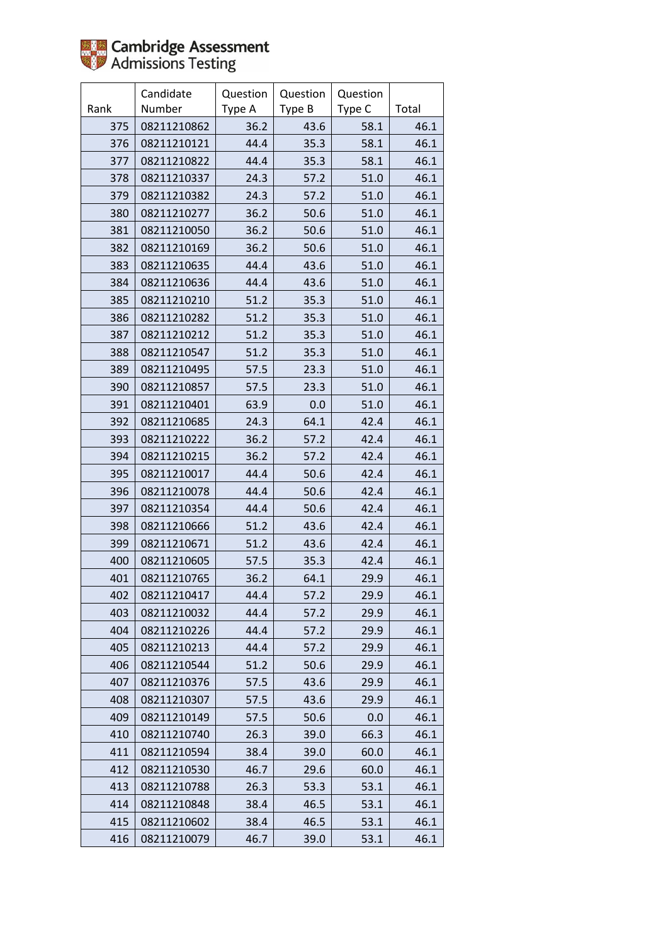

|      | Candidate   | Question | Question | Question |       |
|------|-------------|----------|----------|----------|-------|
| Rank | Number      | Type A   | Type B   | Type C   | Total |
| 375  | 08211210862 | 36.2     | 43.6     | 58.1     | 46.1  |
| 376  | 08211210121 | 44.4     | 35.3     | 58.1     | 46.1  |
| 377  | 08211210822 | 44.4     | 35.3     | 58.1     | 46.1  |
| 378  | 08211210337 | 24.3     | 57.2     | 51.0     | 46.1  |
| 379  | 08211210382 | 24.3     | 57.2     | 51.0     | 46.1  |
| 380  | 08211210277 | 36.2     | 50.6     | 51.0     | 46.1  |
| 381  | 08211210050 | 36.2     | 50.6     | 51.0     | 46.1  |
| 382  | 08211210169 | 36.2     | 50.6     | 51.0     | 46.1  |
| 383  | 08211210635 | 44.4     | 43.6     | 51.0     | 46.1  |
| 384  | 08211210636 | 44.4     | 43.6     | 51.0     | 46.1  |
| 385  | 08211210210 | 51.2     | 35.3     | 51.0     | 46.1  |
| 386  | 08211210282 | 51.2     | 35.3     | 51.0     | 46.1  |
| 387  | 08211210212 | 51.2     | 35.3     | 51.0     | 46.1  |
| 388  | 08211210547 | 51.2     | 35.3     | 51.0     | 46.1  |
| 389  | 08211210495 | 57.5     | 23.3     | 51.0     | 46.1  |
| 390  | 08211210857 | 57.5     | 23.3     | 51.0     | 46.1  |
| 391  | 08211210401 | 63.9     | 0.0      | 51.0     | 46.1  |
| 392  | 08211210685 | 24.3     | 64.1     | 42.4     | 46.1  |
| 393  | 08211210222 | 36.2     | 57.2     | 42.4     | 46.1  |
| 394  | 08211210215 | 36.2     | 57.2     | 42.4     | 46.1  |
| 395  | 08211210017 | 44.4     | 50.6     | 42.4     | 46.1  |
| 396  | 08211210078 | 44.4     | 50.6     | 42.4     | 46.1  |
| 397  | 08211210354 | 44.4     | 50.6     | 42.4     | 46.1  |
| 398  | 08211210666 | 51.2     | 43.6     | 42.4     | 46.1  |
| 399  | 08211210671 | 51.2     | 43.6     | 42.4     | 46.1  |
| 400  | 08211210605 | 57.5     | 35.3     | 42.4     | 46.1  |
| 401  | 08211210765 | 36.2     | 64.1     | 29.9     | 46.1  |
| 402  | 08211210417 | 44.4     | 57.2     | 29.9     | 46.1  |
| 403  | 08211210032 | 44.4     | 57.2     | 29.9     | 46.1  |
| 404  | 08211210226 | 44.4     | 57.2     | 29.9     | 46.1  |
| 405  | 08211210213 | 44.4     | 57.2     | 29.9     | 46.1  |
| 406  | 08211210544 | 51.2     | 50.6     | 29.9     | 46.1  |
| 407  | 08211210376 | 57.5     | 43.6     | 29.9     | 46.1  |
| 408  | 08211210307 | 57.5     | 43.6     | 29.9     | 46.1  |
| 409  | 08211210149 | 57.5     | 50.6     | 0.0      | 46.1  |
| 410  | 08211210740 | 26.3     | 39.0     | 66.3     | 46.1  |
| 411  | 08211210594 | 38.4     | 39.0     | 60.0     | 46.1  |
| 412  | 08211210530 | 46.7     | 29.6     | 60.0     | 46.1  |
| 413  | 08211210788 | 26.3     | 53.3     | 53.1     | 46.1  |
| 414  | 08211210848 | 38.4     | 46.5     | 53.1     | 46.1  |
| 415  | 08211210602 | 38.4     | 46.5     | 53.1     | 46.1  |
| 416  | 08211210079 | 46.7     | 39.0     | 53.1     | 46.1  |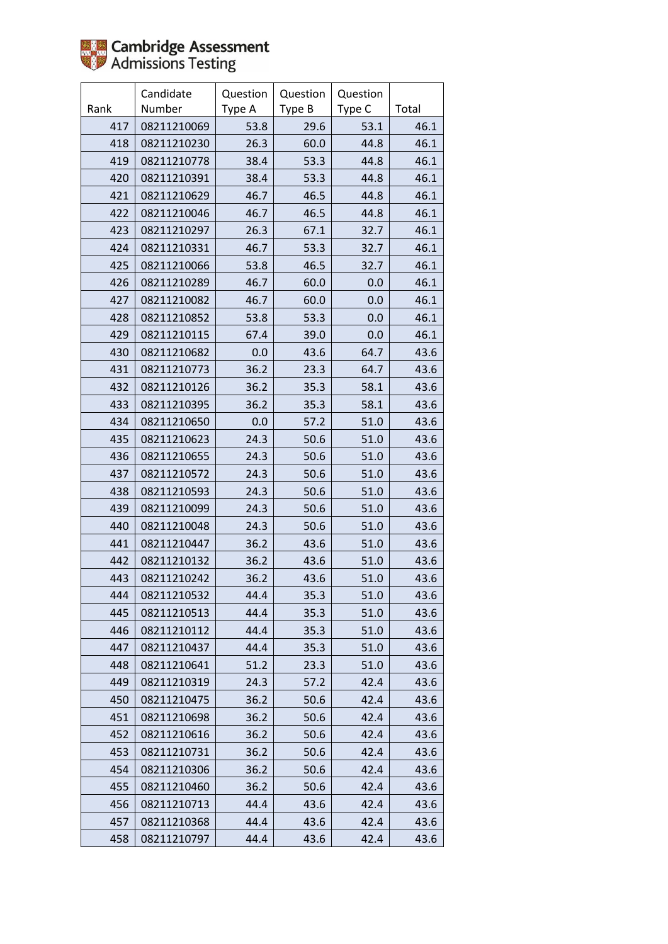

|      | Candidate   | Question | Question | Question |       |
|------|-------------|----------|----------|----------|-------|
| Rank | Number      | Type A   | Type B   | Type C   | Total |
| 417  | 08211210069 | 53.8     | 29.6     | 53.1     | 46.1  |
| 418  | 08211210230 | 26.3     | 60.0     | 44.8     | 46.1  |
| 419  | 08211210778 | 38.4     | 53.3     | 44.8     | 46.1  |
| 420  | 08211210391 | 38.4     | 53.3     | 44.8     | 46.1  |
| 421  | 08211210629 | 46.7     | 46.5     | 44.8     | 46.1  |
| 422  | 08211210046 | 46.7     | 46.5     | 44.8     | 46.1  |
| 423  | 08211210297 | 26.3     | 67.1     | 32.7     | 46.1  |
| 424  | 08211210331 | 46.7     | 53.3     | 32.7     | 46.1  |
| 425  | 08211210066 | 53.8     | 46.5     | 32.7     | 46.1  |
| 426  | 08211210289 | 46.7     | 60.0     | 0.0      | 46.1  |
| 427  | 08211210082 | 46.7     | 60.0     | 0.0      | 46.1  |
| 428  | 08211210852 | 53.8     | 53.3     | 0.0      | 46.1  |
| 429  | 08211210115 | 67.4     | 39.0     | 0.0      | 46.1  |
| 430  | 08211210682 | 0.0      | 43.6     | 64.7     | 43.6  |
| 431  | 08211210773 | 36.2     | 23.3     | 64.7     | 43.6  |
| 432  | 08211210126 | 36.2     | 35.3     | 58.1     | 43.6  |
| 433  | 08211210395 | 36.2     | 35.3     | 58.1     | 43.6  |
| 434  | 08211210650 | 0.0      | 57.2     | 51.0     | 43.6  |
| 435  | 08211210623 | 24.3     | 50.6     | 51.0     | 43.6  |
| 436  | 08211210655 | 24.3     | 50.6     | 51.0     | 43.6  |
| 437  | 08211210572 | 24.3     | 50.6     | 51.0     | 43.6  |
| 438  | 08211210593 | 24.3     | 50.6     | 51.0     | 43.6  |
| 439  | 08211210099 | 24.3     | 50.6     | 51.0     | 43.6  |
| 440  | 08211210048 | 24.3     | 50.6     | 51.0     | 43.6  |
| 441  | 08211210447 | 36.2     | 43.6     | 51.0     | 43.6  |
| 442  | 08211210132 | 36.2     | 43.6     | 51.0     | 43.6  |
| 443  | 08211210242 | 36.2     | 43.6     | 51.0     | 43.6  |
| 444  | 08211210532 | 44.4     | 35.3     | 51.0     | 43.6  |
| 445  | 08211210513 | 44.4     | 35.3     | 51.0     | 43.6  |
| 446  | 08211210112 | 44.4     | 35.3     | 51.0     | 43.6  |
| 447  | 08211210437 | 44.4     | 35.3     | 51.0     | 43.6  |
| 448  | 08211210641 | 51.2     | 23.3     | 51.0     | 43.6  |
| 449  | 08211210319 | 24.3     | 57.2     | 42.4     | 43.6  |
| 450  | 08211210475 | 36.2     | 50.6     | 42.4     | 43.6  |
| 451  | 08211210698 | 36.2     | 50.6     | 42.4     | 43.6  |
| 452  | 08211210616 | 36.2     | 50.6     | 42.4     | 43.6  |
| 453  | 08211210731 | 36.2     | 50.6     | 42.4     | 43.6  |
| 454  | 08211210306 | 36.2     | 50.6     | 42.4     | 43.6  |
| 455  | 08211210460 | 36.2     | 50.6     | 42.4     | 43.6  |
| 456  | 08211210713 | 44.4     | 43.6     | 42.4     | 43.6  |
| 457  | 08211210368 | 44.4     | 43.6     | 42.4     | 43.6  |
| 458  | 08211210797 | 44.4     | 43.6     | 42.4     | 43.6  |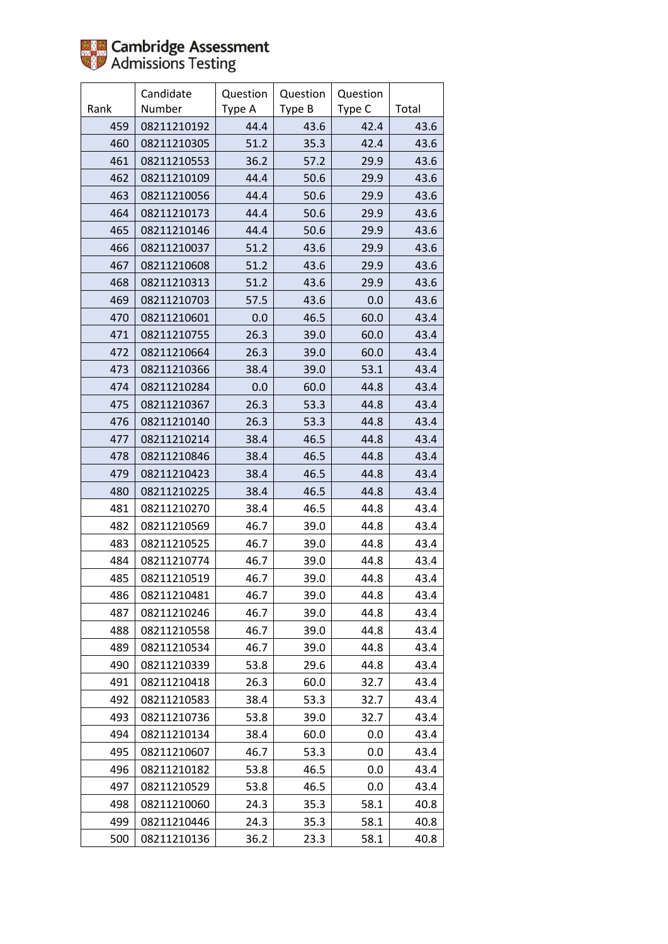

|      | Candidate   | Question | Question | Question |       |
|------|-------------|----------|----------|----------|-------|
| Rank | Number      | Type A   | Type B   | Type C   | Total |
| 459  | 08211210192 | 44.4     | 43.6     | 42.4     | 43.6  |
| 460  | 08211210305 | 51.2     | 35.3     | 42.4     | 43.6  |
| 461  | 08211210553 | 36.2     | 57.2     | 29.9     | 43.6  |
| 462  | 08211210109 | 44.4     | 50.6     | 29.9     | 43.6  |
| 463  | 08211210056 | 44.4     | 50.6     | 29.9     | 43.6  |
| 464  | 08211210173 | 44.4     | 50.6     | 29.9     | 43.6  |
| 465  | 08211210146 | 44.4     | 50.6     | 29.9     | 43.6  |
| 466  | 08211210037 | 51.2     | 43.6     | 29.9     | 43.6  |
| 467  | 08211210608 | 51.2     | 43.6     | 29.9     | 43.6  |
| 468  | 08211210313 | 51.2     | 43.6     | 29.9     | 43.6  |
| 469  | 08211210703 | 57.5     | 43.6     | 0.0      | 43.6  |
| 470  | 08211210601 | 0.0      | 46.5     | 60.0     | 43.4  |
| 471  | 08211210755 | 26.3     | 39.0     | 60.0     | 43.4  |
| 472  | 08211210664 | 26.3     | 39.0     | 60.0     | 43.4  |
| 473  | 08211210366 | 38.4     | 39.0     | 53.1     | 43.4  |
| 474  | 08211210284 | 0.0      | 60.0     | 44.8     | 43.4  |
| 475  | 08211210367 | 26.3     | 53.3     | 44.8     | 43.4  |
| 476  | 08211210140 | 26.3     | 53.3     | 44.8     | 43.4  |
| 477  | 08211210214 | 38.4     | 46.5     | 44.8     | 43.4  |
| 478  | 08211210846 | 38.4     | 46.5     | 44.8     | 43.4  |
| 479  | 08211210423 | 38.4     | 46.5     | 44.8     | 43.4  |
| 480  | 08211210225 | 38.4     | 46.5     | 44.8     | 43.4  |
| 481  | 08211210270 | 38.4     | 46.5     | 44.8     | 43.4  |
| 482  | 08211210569 | 46.7     | 39.0     | 44.8     | 43.4  |
| 483  | 08211210525 | 46.7     | 39.0     | 44.8     | 43.4  |
| 484  | 08211210774 | 46.7     | 39.0     | 44.8     | 43.4  |
| 485  | 08211210519 | 46.7     | 39.0     | 44.8     | 43.4  |
| 486  | 08211210481 | 46.7     | 39.0     | 44.8     | 43.4  |
| 487  | 08211210246 | 46.7     | 39.0     | 44.8     | 43.4  |
| 488  | 08211210558 | 46.7     | 39.0     | 44.8     | 43.4  |
| 489  | 08211210534 | 46.7     | 39.0     | 44.8     | 43.4  |
| 490  | 08211210339 | 53.8     | 29.6     | 44.8     | 43.4  |
| 491  | 08211210418 | 26.3     | 60.0     | 32.7     | 43.4  |
| 492  | 08211210583 | 38.4     | 53.3     | 32.7     | 43.4  |
| 493  | 08211210736 | 53.8     | 39.0     | 32.7     | 43.4  |
| 494  | 08211210134 | 38.4     | 60.0     | 0.0      | 43.4  |
| 495  | 08211210607 | 46.7     | 53.3     | 0.0      | 43.4  |
| 496  | 08211210182 | 53.8     | 46.5     | 0.0      | 43.4  |
| 497  | 08211210529 | 53.8     | 46.5     | 0.0      | 43.4  |
| 498  | 08211210060 | 24.3     | 35.3     | 58.1     | 40.8  |
| 499  | 08211210446 | 24.3     | 35.3     | 58.1     | 40.8  |
| 500  | 08211210136 | 36.2     | 23.3     | 58.1     | 40.8  |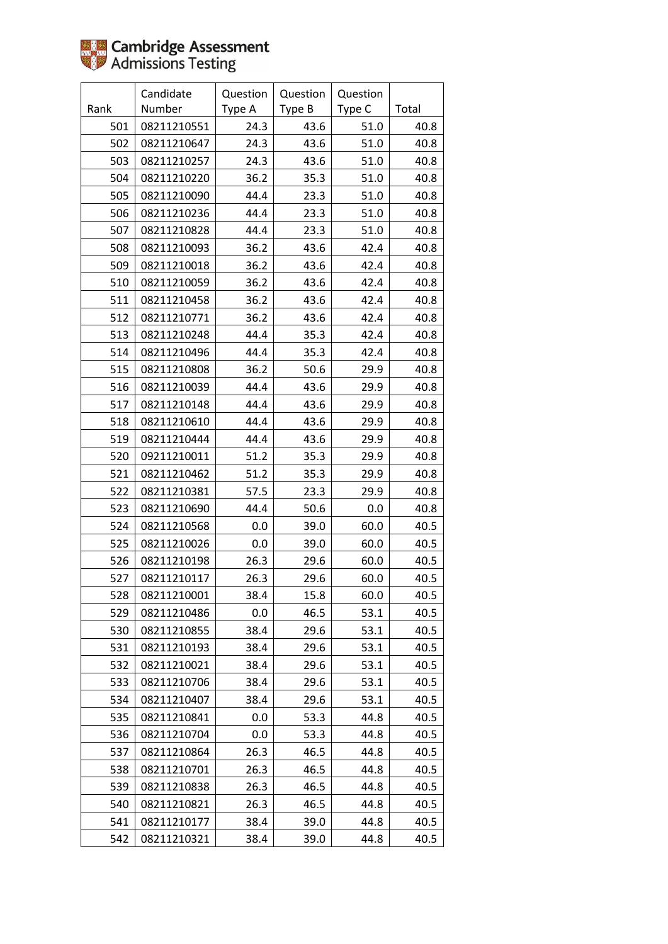

|      | Candidate   | Question | Question | Question |       |
|------|-------------|----------|----------|----------|-------|
| Rank | Number      | Type A   | Type B   | Type C   | Total |
| 501  | 08211210551 | 24.3     | 43.6     | 51.0     | 40.8  |
| 502  | 08211210647 | 24.3     | 43.6     | 51.0     | 40.8  |
| 503  | 08211210257 | 24.3     | 43.6     | $51.0$   | 40.8  |
| 504  | 08211210220 | 36.2     | 35.3     | 51.0     | 40.8  |
| 505  | 08211210090 | 44.4     | 23.3     | 51.0     | 40.8  |
| 506  | 08211210236 | 44.4     | 23.3     | 51.0     | 40.8  |
| 507  | 08211210828 | 44.4     | 23.3     | 51.0     | 40.8  |
| 508  | 08211210093 | 36.2     | 43.6     | 42.4     | 40.8  |
| 509  | 08211210018 | 36.2     | 43.6     | 42.4     | 40.8  |
| 510  | 08211210059 | 36.2     | 43.6     | 42.4     | 40.8  |
| 511  | 08211210458 | 36.2     | 43.6     | 42.4     | 40.8  |
| 512  | 08211210771 | 36.2     | 43.6     | 42.4     | 40.8  |
| 513  | 08211210248 | 44.4     | 35.3     | 42.4     | 40.8  |
| 514  | 08211210496 | 44.4     | 35.3     | 42.4     | 40.8  |
| 515  | 08211210808 | 36.2     | 50.6     | 29.9     | 40.8  |
| 516  | 08211210039 | 44.4     | 43.6     | 29.9     | 40.8  |
| 517  | 08211210148 | 44.4     | 43.6     | 29.9     | 40.8  |
| 518  | 08211210610 | 44.4     | 43.6     | 29.9     | 40.8  |
| 519  | 08211210444 | 44.4     | 43.6     | 29.9     | 40.8  |
| 520  | 09211210011 | 51.2     | 35.3     | 29.9     | 40.8  |
| 521  | 08211210462 | 51.2     | 35.3     | 29.9     | 40.8  |
| 522  | 08211210381 | 57.5     | 23.3     | 29.9     | 40.8  |
| 523  | 08211210690 | 44.4     | 50.6     | 0.0      | 40.8  |
| 524  | 08211210568 | 0.0      | 39.0     | 60.0     | 40.5  |
| 525  | 08211210026 | 0.0      | 39.0     | 60.0     | 40.5  |
| 526  | 08211210198 | 26.3     | 29.6     | 60.0     | 40.5  |
| 527  | 08211210117 | 26.3     | 29.6     | 60.0     | 40.5  |
| 528  | 08211210001 | 38.4     | 15.8     | 60.0     | 40.5  |
| 529  | 08211210486 | 0.0      | 46.5     | 53.1     | 40.5  |
| 530  | 08211210855 | 38.4     | 29.6     | 53.1     | 40.5  |
| 531  | 08211210193 | 38.4     | 29.6     | 53.1     | 40.5  |
| 532  | 08211210021 | 38.4     | 29.6     | 53.1     | 40.5  |
| 533  | 08211210706 | 38.4     | 29.6     | 53.1     | 40.5  |
| 534  | 08211210407 | 38.4     | 29.6     | 53.1     | 40.5  |
| 535  | 08211210841 | 0.0      | 53.3     | 44.8     | 40.5  |
| 536  | 08211210704 | 0.0      | 53.3     | 44.8     | 40.5  |
| 537  | 08211210864 | 26.3     | 46.5     | 44.8     | 40.5  |
| 538  | 08211210701 | 26.3     | 46.5     | 44.8     | 40.5  |
| 539  | 08211210838 | 26.3     | 46.5     | 44.8     | 40.5  |
| 540  | 08211210821 | 26.3     | 46.5     | 44.8     | 40.5  |
| 541  | 08211210177 | 38.4     | 39.0     | 44.8     | 40.5  |
| 542  | 08211210321 | 38.4     | 39.0     | 44.8     | 40.5  |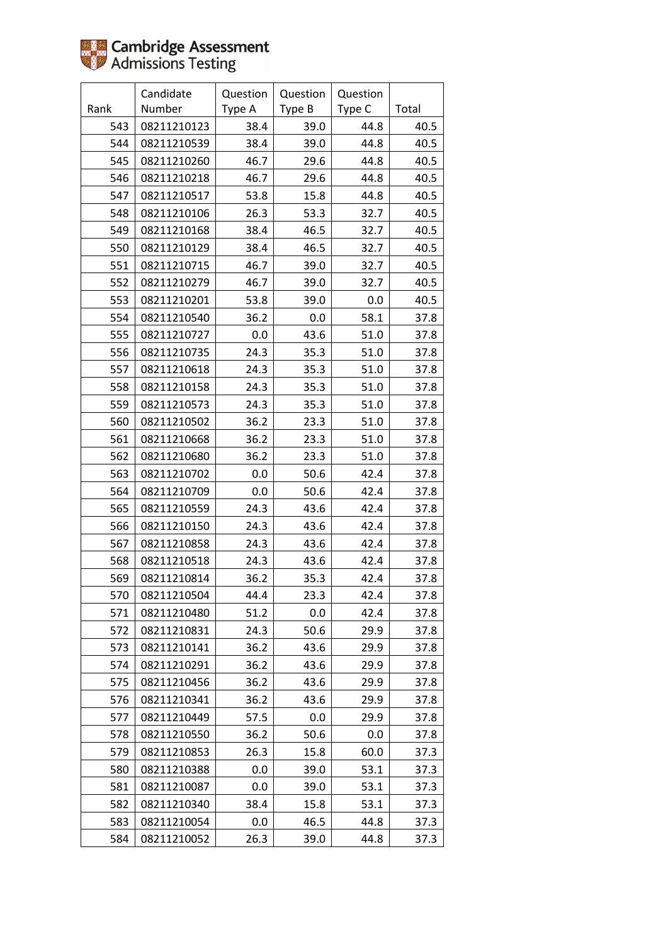

|      | Candidate   | Question | Question | Question |       |
|------|-------------|----------|----------|----------|-------|
| Rank | Number      | Type A   | Type B   | Type C   | Total |
| 543  | 08211210123 | 38.4     | 39.0     | 44.8     | 40.5  |
| 544  | 08211210539 | 38.4     | 39.0     | 44.8     | 40.5  |
| 545  | 08211210260 | 46.7     | 29.6     | 44.8     | 40.5  |
| 546  | 08211210218 | 46.7     | 29.6     | 44.8     | 40.5  |
| 547  | 08211210517 | 53.8     | 15.8     | 44.8     | 40.5  |
| 548  | 08211210106 | 26.3     | 53.3     | 32.7     | 40.5  |
| 549  | 08211210168 | 38.4     | 46.5     | 32.7     | 40.5  |
| 550  | 08211210129 | 38.4     | 46.5     | 32.7     | 40.5  |
| 551  | 08211210715 | 46.7     | 39.0     | 32.7     | 40.5  |
| 552  | 08211210279 | 46.7     | 39.0     | 32.7     | 40.5  |
| 553  | 08211210201 | 53.8     | 39.0     | 0.0      | 40.5  |
| 554  | 08211210540 | 36.2     | 0.0      | 58.1     | 37.8  |
| 555  | 08211210727 | 0.0      | 43.6     | 51.0     | 37.8  |
| 556  | 08211210735 | 24.3     | 35.3     | 51.0     | 37.8  |
| 557  | 08211210618 | 24.3     | 35.3     | 51.0     | 37.8  |
| 558  | 08211210158 | 24.3     | 35.3     | 51.0     | 37.8  |
| 559  | 08211210573 | 24.3     | 35.3     | 51.0     | 37.8  |
| 560  | 08211210502 | 36.2     | 23.3     | 51.0     | 37.8  |
| 561  | 08211210668 | 36.2     | 23.3     | 51.0     | 37.8  |
| 562  | 08211210680 | 36.2     | 23.3     | 51.0     | 37.8  |
| 563  | 08211210702 | 0.0      | 50.6     | 42.4     | 37.8  |
| 564  | 08211210709 | 0.0      | 50.6     | 42.4     | 37.8  |
| 565  | 08211210559 | 24.3     | 43.6     | 42.4     | 37.8  |
| 566  | 08211210150 | 24.3     | 43.6     | 42.4     | 37.8  |
| 567  | 08211210858 | 24.3     | 43.6     | 42.4     | 37.8  |
| 568  | 08211210518 | 24.3     | 43.6     | 42.4     | 37.8  |
| 569  | 08211210814 | 36.2     | 35.3     | 42.4     | 37.8  |
| 570  | 08211210504 | 44.4     | 23.3     | 42.4     | 37.8  |
| 571  | 08211210480 | 51.2     | 0.0      | 42.4     | 37.8  |
| 572  | 08211210831 | 24.3     | 50.6     | 29.9     | 37.8  |
| 573  | 08211210141 | 36.2     | 43.6     | 29.9     | 37.8  |
| 574  | 08211210291 | 36.2     | 43.6     | 29.9     | 37.8  |
| 575  | 08211210456 | 36.2     | 43.6     | 29.9     | 37.8  |
| 576  | 08211210341 | 36.2     | 43.6     | 29.9     | 37.8  |
| 577  | 08211210449 | 57.5     | 0.0      | 29.9     | 37.8  |
| 578  | 08211210550 | 36.2     | 50.6     | 0.0      | 37.8  |
| 579  | 08211210853 | 26.3     | 15.8     | 60.0     | 37.3  |
| 580  | 08211210388 | 0.0      | 39.0     | 53.1     | 37.3  |
| 581  | 08211210087 | 0.0      | 39.0     | 53.1     | 37.3  |
| 582  | 08211210340 | 38.4     | 15.8     | 53.1     | 37.3  |
| 583  | 08211210054 | 0.0      | 46.5     | 44.8     | 37.3  |
| 584  | 08211210052 | 26.3     | 39.0     | 44.8     | 37.3  |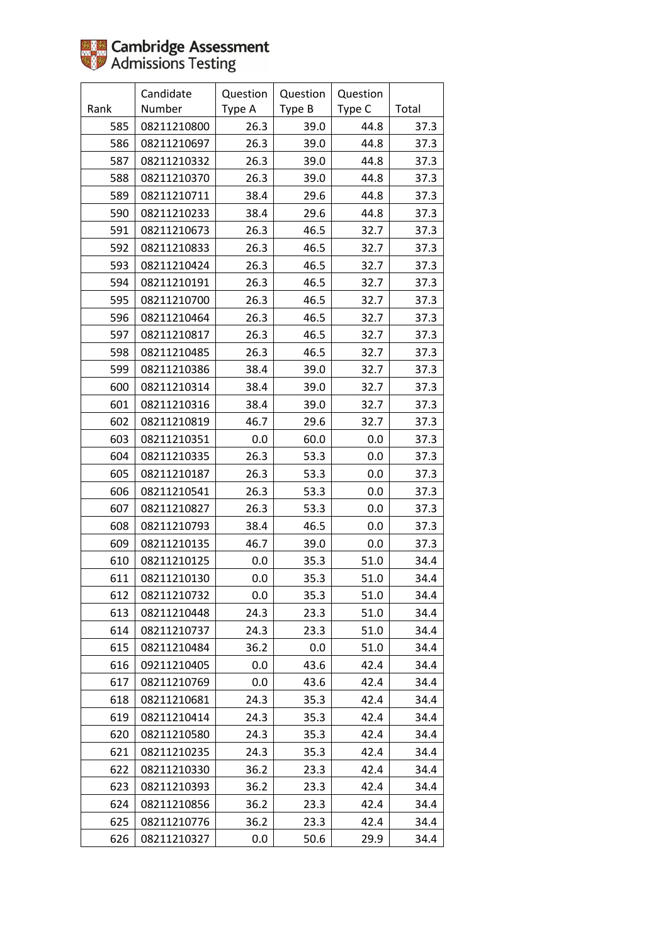

|      | Candidate   | Question | Question | Question |       |
|------|-------------|----------|----------|----------|-------|
| Rank | Number      | Type A   | Type B   | Type C   | Total |
| 585  | 08211210800 | 26.3     | 39.0     | 44.8     | 37.3  |
| 586  | 08211210697 | 26.3     | 39.0     | 44.8     | 37.3  |
| 587  | 08211210332 | 26.3     | 39.0     | 44.8     | 37.3  |
| 588  | 08211210370 | 26.3     | 39.0     | 44.8     | 37.3  |
| 589  | 08211210711 | 38.4     | 29.6     | 44.8     | 37.3  |
| 590  | 08211210233 | 38.4     | 29.6     | 44.8     | 37.3  |
| 591  | 08211210673 | 26.3     | 46.5     | 32.7     | 37.3  |
| 592  | 08211210833 | 26.3     | 46.5     | 32.7     | 37.3  |
| 593  | 08211210424 | 26.3     | 46.5     | 32.7     | 37.3  |
| 594  | 08211210191 | 26.3     | 46.5     | 32.7     | 37.3  |
| 595  | 08211210700 | 26.3     | 46.5     | 32.7     | 37.3  |
| 596  | 08211210464 | 26.3     | 46.5     | 32.7     | 37.3  |
| 597  | 08211210817 | 26.3     | 46.5     | 32.7     | 37.3  |
| 598  | 08211210485 | 26.3     | 46.5     | 32.7     | 37.3  |
| 599  | 08211210386 | 38.4     | 39.0     | 32.7     | 37.3  |
| 600  | 08211210314 | 38.4     | 39.0     | 32.7     | 37.3  |
| 601  | 08211210316 | 38.4     | 39.0     | 32.7     | 37.3  |
| 602  | 08211210819 | 46.7     | 29.6     | 32.7     | 37.3  |
| 603  | 08211210351 | 0.0      | 60.0     | 0.0      | 37.3  |
| 604  | 08211210335 | 26.3     | 53.3     | 0.0      | 37.3  |
| 605  | 08211210187 | 26.3     | 53.3     | 0.0      | 37.3  |
| 606  | 08211210541 | 26.3     | 53.3     | 0.0      | 37.3  |
| 607  | 08211210827 | 26.3     | 53.3     | 0.0      | 37.3  |
| 608  | 08211210793 | 38.4     | 46.5     | 0.0      | 37.3  |
| 609  | 08211210135 | 46.7     | 39.0     | 0.0      | 37.3  |
| 610  | 08211210125 | 0.0      | 35.3     | 51.0     | 34.4  |
| 611  | 08211210130 | 0.0      | 35.3     | 51.0     | 34.4  |
| 612  | 08211210732 | 0.0      | 35.3     | 51.0     | 34.4  |
| 613  | 08211210448 | 24.3     | 23.3     | 51.0     | 34.4  |
| 614  | 08211210737 | 24.3     | 23.3     | 51.0     | 34.4  |
| 615  | 08211210484 | 36.2     | 0.0      | 51.0     | 34.4  |
| 616  | 09211210405 | 0.0      | 43.6     | 42.4     | 34.4  |
| 617  | 08211210769 | 0.0      | 43.6     | 42.4     | 34.4  |
| 618  | 08211210681 | 24.3     | 35.3     | 42.4     | 34.4  |
| 619  | 08211210414 | 24.3     | 35.3     | 42.4     | 34.4  |
| 620  | 08211210580 | 24.3     | 35.3     | 42.4     | 34.4  |
| 621  | 08211210235 | 24.3     | 35.3     | 42.4     | 34.4  |
| 622  | 08211210330 | 36.2     | 23.3     | 42.4     | 34.4  |
| 623  | 08211210393 | 36.2     | 23.3     | 42.4     | 34.4  |
| 624  | 08211210856 | 36.2     | 23.3     | 42.4     | 34.4  |
| 625  | 08211210776 | 36.2     | 23.3     | 42.4     | 34.4  |
| 626  | 08211210327 | 0.0      | 50.6     | 29.9     | 34.4  |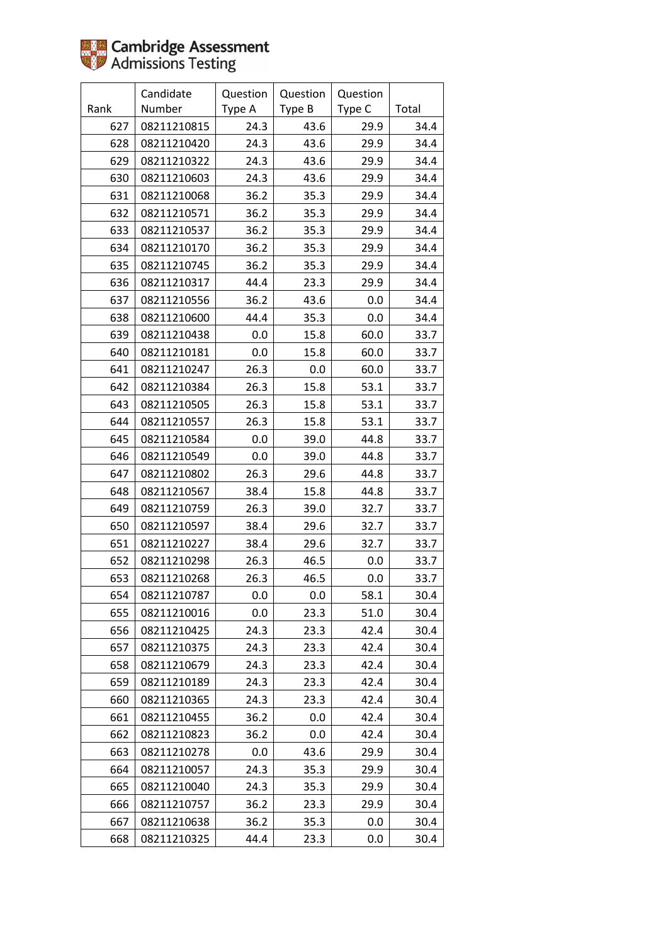

|      | Candidate   | Question | Question | Question |       |
|------|-------------|----------|----------|----------|-------|
| Rank | Number      | Type A   | Type B   | Type C   | Total |
| 627  | 08211210815 | 24.3     | 43.6     | 29.9     | 34.4  |
| 628  | 08211210420 | 24.3     | 43.6     | 29.9     | 34.4  |
| 629  | 08211210322 | 24.3     | 43.6     | 29.9     | 34.4  |
| 630  | 08211210603 | 24.3     | 43.6     | 29.9     | 34.4  |
| 631  | 08211210068 | 36.2     | 35.3     | 29.9     | 34.4  |
| 632  | 08211210571 | 36.2     | 35.3     | 29.9     | 34.4  |
| 633  | 08211210537 | 36.2     | 35.3     | 29.9     | 34.4  |
| 634  | 08211210170 | 36.2     | 35.3     | 29.9     | 34.4  |
| 635  | 08211210745 | 36.2     | 35.3     | 29.9     | 34.4  |
| 636  | 08211210317 | 44.4     | 23.3     | 29.9     | 34.4  |
| 637  | 08211210556 | 36.2     | 43.6     | 0.0      | 34.4  |
| 638  | 08211210600 | 44.4     | 35.3     | 0.0      | 34.4  |
| 639  | 08211210438 | $0.0\,$  | 15.8     | 60.0     | 33.7  |
| 640  | 08211210181 | 0.0      | 15.8     | 60.0     | 33.7  |
| 641  | 08211210247 | 26.3     | 0.0      | 60.0     | 33.7  |
| 642  | 08211210384 | 26.3     | 15.8     | 53.1     | 33.7  |
| 643  | 08211210505 | 26.3     | 15.8     | 53.1     | 33.7  |
| 644  | 08211210557 | 26.3     | 15.8     | 53.1     | 33.7  |
| 645  | 08211210584 | 0.0      | 39.0     | 44.8     | 33.7  |
| 646  | 08211210549 | 0.0      | 39.0     | 44.8     | 33.7  |
| 647  | 08211210802 | 26.3     | 29.6     | 44.8     | 33.7  |
| 648  | 08211210567 | 38.4     | 15.8     | 44.8     | 33.7  |
| 649  | 08211210759 | 26.3     | 39.0     | 32.7     | 33.7  |
| 650  | 08211210597 | 38.4     | 29.6     | 32.7     | 33.7  |
| 651  | 08211210227 | 38.4     | 29.6     | 32.7     | 33.7  |
| 652  | 08211210298 | 26.3     | 46.5     | 0.0      | 33.7  |
| 653  | 08211210268 | 26.3     | 46.5     | 0.0      | 33.7  |
| 654  | 08211210787 | 0.0      | 0.0      | 58.1     | 30.4  |
| 655  | 08211210016 | 0.0      | 23.3     | 51.0     | 30.4  |
| 656  | 08211210425 | 24.3     | 23.3     | 42.4     | 30.4  |
| 657  | 08211210375 | 24.3     | 23.3     | 42.4     | 30.4  |
| 658  | 08211210679 | 24.3     | 23.3     | 42.4     | 30.4  |
| 659  | 08211210189 | 24.3     | 23.3     | 42.4     | 30.4  |
| 660  | 08211210365 | 24.3     | 23.3     | 42.4     | 30.4  |
| 661  | 08211210455 | 36.2     | 0.0      | 42.4     | 30.4  |
| 662  | 08211210823 | 36.2     | 0.0      | 42.4     | 30.4  |
| 663  | 08211210278 | 0.0      | 43.6     | 29.9     | 30.4  |
| 664  | 08211210057 | 24.3     | 35.3     | 29.9     | 30.4  |
| 665  | 08211210040 | 24.3     | 35.3     | 29.9     | 30.4  |
| 666  | 08211210757 | 36.2     | 23.3     | 29.9     | 30.4  |
| 667  | 08211210638 | 36.2     | 35.3     | 0.0      | 30.4  |
| 668  | 08211210325 | 44.4     | 23.3     | 0.0      | 30.4  |